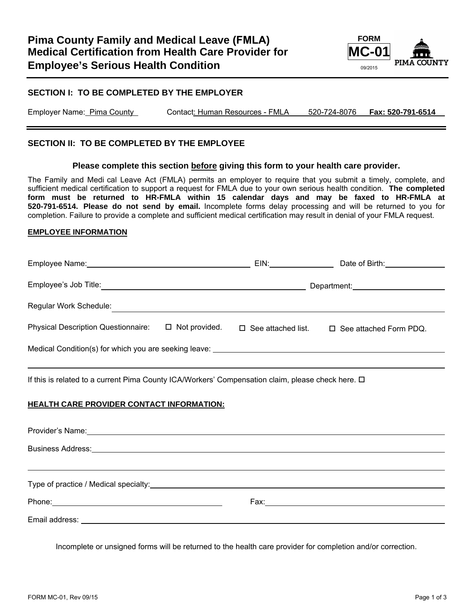

## **SECTION I: TO BE COMPLETED BY THE EMPLOYER**

Employer Name: Pima County Contact: Human Resources - FMLA 520-724-8076 **Fax: 520-791-6514**

#### **SECTION II: TO BE COMPLETED BY THE EMPLOYEE**

#### **Please complete this section before giving this form to your health care provider.**

The Family and Medi cal Leave Act (FMLA) permits an employer to require that you submit a timely, complete, and sufficient medical certification to support a request for FMLA due to your own serious health condition. **The completed form must be returned to HR-FMLA within 15 calendar days and may be faxed to HR-FMLA at 520-791-6514. Please do not send by email.** Incomplete forms delay processing and will be returned to you for completion. Failure to provide a complete and sufficient medical certification may result in denial of your FMLA request.

#### **EMPLOYEE INFORMATION**

| Employee Name: Manneled and Contact Contact Contact Contact Contact Contact Contact Contact Contact Contact Co |                      | EIN: EIN:                 | Date of Birth: New York 1996     |  |
|----------------------------------------------------------------------------------------------------------------|----------------------|---------------------------|----------------------------------|--|
| Employee's Job Title:                                                                                          |                      |                           | Department: Department:          |  |
| Regular Work Schedule:                                                                                         |                      |                           |                                  |  |
| <b>Physical Description Questionnaire:</b>                                                                     | $\Box$ Not provided. | $\Box$ See attached list. | $\square$ See attached Form PDQ. |  |
| Medical Condition(s) for which you are seeking leave:                                                          |                      |                           |                                  |  |

If this is related to a current Pima County ICA/Workers' Compensation claim, please check here.  $\Box$ 

#### **HEALTH CARE PROVIDER CONTACT INFORMATION:**

| Provider's Name: 1990 and 200 million and 200 million and 200 million and 200 million and 200 million and 200 million and 200 million and 200 million and 200 million and 200 million and 200 million and 200 million and 200  |  |
|--------------------------------------------------------------------------------------------------------------------------------------------------------------------------------------------------------------------------------|--|
|                                                                                                                                                                                                                                |  |
|                                                                                                                                                                                                                                |  |
|                                                                                                                                                                                                                                |  |
| Phone: 2008 2009 2010 2010 2010 2010 2011 2021 2022 2023 2024 2022 2023 2024 2022 2023 2024 2022 2023 2024 20                                                                                                                  |  |
| Email address: The contract of the contract of the contract of the contract of the contract of the contract of the contract of the contract of the contract of the contract of the contract of the contract of the contract of |  |

Incomplete or unsigned forms will be returned to the health care provider for completion and/or correction.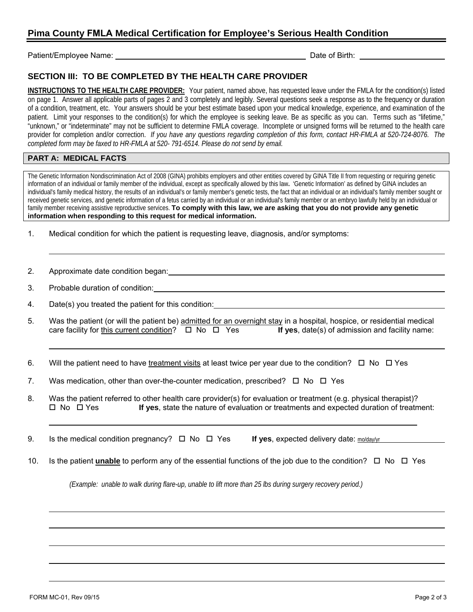# **Pima County FMLA Medical Certification for Employee's Serious Health Condition**

Patient/Employee Name: Date of Birth:

## **SECTION III: TO BE COMPLETED BY THE HEALTH CARE PROVIDER**

**INSTRUCTIONS TO THE HEALTH CARE PROVIDER:** Your patient, named above, has requested leave under the FMLA for the condition(s) listed on page 1. Answer all applicable parts of pages 2 and 3 completely and legibly. Several questions seek a response as to the frequency or duration of a condition, treatment, etc. Your answers should be your best estimate based upon your medical knowledge, experience, and examination of the patient. Limit your responses to the condition(s) for which the employee is seeking leave. Be as specific as you can. Terms such as "lifetime," "unknown," or "indeterminate" may not be sufficient to determine FMLA coverage. Incomplete or unsigned forms will be returned to the health care provider for completion and/or correction. *If you have any questions regarding completion of this form, contact HR-FMLA at 520-724-8076. The completed form may be faxed to HR-FMLA at 520- 791-6514. Please do not send by email.* 

## **PART A: MEDICAL FACTS**

The Genetic Information Nondiscrimination Act of 2008 (GINA) prohibits employers and other entities covered by GINA Title II from requesting or requiring genetic information of an individual or family member of the individual, except as specifically allowed by this law**.** 'Genetic Information' as defined by GINA includes an individual's family medical history, the results of an individual's or family member's genetic tests, the fact that an individual or an individual's family member sought or received genetic services, and genetic information of a fetus carried by an individual or an individual's family member or an embryo lawfully held by an individual or family member receiving assistive reproductive services. **To comply with this law, we are asking that you do not provide any genetic information when responding to this request for medical information.** 

- 1. Medical condition for which the patient is requesting leave, diagnosis, and/or symptoms:
- 2. Approximate date condition began:
- 3. Probable duration of condition:
- 4. Date(s) you treated the patient for this condition:
- 5. Was the patient (or will the patient be) admitted for an overnight stay in a hospital, hospice, or residential medical care facility for this current condition?  $\Box$  No  $\Box$  Yes **If yes**, date(s) of admission and facility name:
- 6. Will the patient need to have treatment visits at least twice per year due to the condition?  $\Box$  No  $\Box$  Yes
- 7. Was medication, other than over-the-counter medication, prescribed?  $\Box$  No  $\Box$  Yes
- 8. Was the patient referred to other health care provider(s) for evaluation or treatment (e.g. physical therapist)?<br>I No  $\Box$  Yes **If ves**, state the nature of evaluation or treatments and expected duration of treatm If yes, state the nature of evaluation or treatments and expected duration of treatment:
- 9. Is the medical condition pregnancy?  $\Box$  No  $\Box$  Yes **If yes**, expected delivery date:  $m/da$ y/yr
- 10. Is the patient **unable** to perform any of the essential functions of the job due to the condition?  $\Box$  No  $\Box$  Yes

*(Example: unable to walk during flare-up, unable to lift more than 25 lbs during surgery recovery period.)*